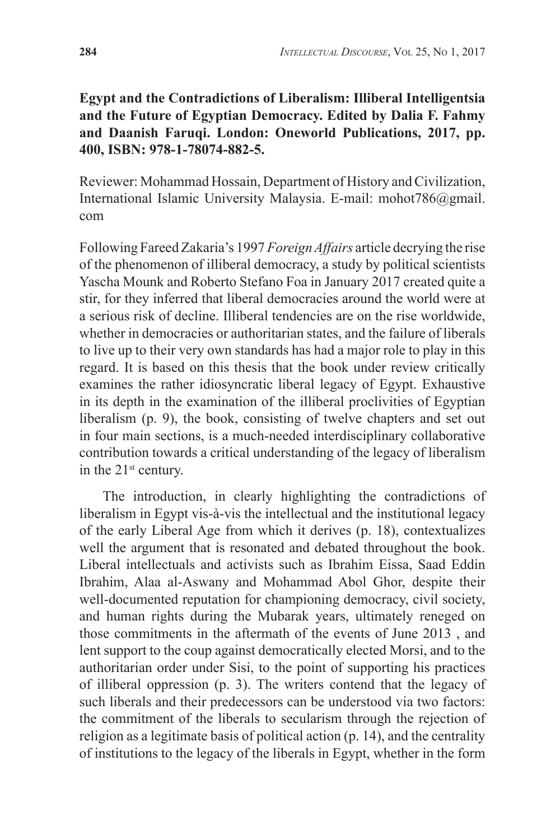## **Egypt and the Contradictions of Liberalism: Illiberal Intelligentsia and the Future of Egyptian Democracy. Edited by Dalia F. Fahmy and Daanish Faruqi. London: Oneworld Publications, 2017, pp. 400, ISBN: 978-1-78074-882-5.**

Reviewer: Mohammad Hossain, Department of History and Civilization, International Islamic University Malaysia. E-mail: mohot786@gmail. com

Following Fareed Zakaria's 1997 *Foreign Affairs* article decrying the rise of the phenomenon of illiberal democracy, a study by political scientists Yascha Mounk and Roberto Stefano Foa in January 2017 created quite a stir, for they inferred that liberal democracies around the world were at a serious risk of decline. Illiberal tendencies are on the rise worldwide, whether in democracies or authoritarian states, and the failure of liberals to live up to their very own standards has had a major role to play in this regard. It is based on this thesis that the book under review critically examines the rather idiosyncratic liberal legacy of Egypt. Exhaustive in its depth in the examination of the illiberal proclivities of Egyptian liberalism (p. 9), the book, consisting of twelve chapters and set out in four main sections, is a much-needed interdisciplinary collaborative contribution towards a critical understanding of the legacy of liberalism in the 21<sup>st</sup> century.

The introduction, in clearly highlighting the contradictions of liberalism in Egypt vis-à-vis the intellectual and the institutional legacy of the early Liberal Age from which it derives (p. 18), contextualizes well the argument that is resonated and debated throughout the book. Liberal intellectuals and activists such as Ibrahim Eissa, Saad Eddin Ibrahim, Alaa al-Aswany and Mohammad Abol Ghor, despite their well-documented reputation for championing democracy, civil society, and human rights during the Mubarak years, ultimately reneged on those commitments in the aftermath of the events of June 2013 , and lent support to the coup against democratically elected Morsi, and to the authoritarian order under Sisi, to the point of supporting his practices of illiberal oppression (p. 3). The writers contend that the legacy of such liberals and their predecessors can be understood via two factors: the commitment of the liberals to secularism through the rejection of religion as a legitimate basis of political action (p. 14), and the centrality of institutions to the legacy of the liberals in Egypt, whether in the form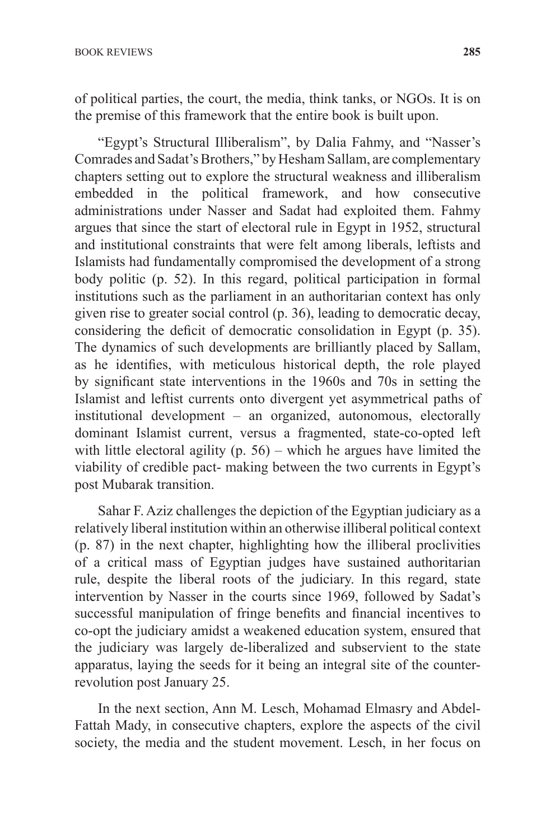of political parties, the court, the media, think tanks, or NGOs. It is on the premise of this framework that the entire book is built upon.

"Egypt's Structural Illiberalism", by Dalia Fahmy, and "Nasser's Comrades and Sadat's Brothers," by Hesham Sallam, are complementary chapters setting out to explore the structural weakness and illiberalism embedded in the political framework, and how consecutive administrations under Nasser and Sadat had exploited them. Fahmy argues that since the start of electoral rule in Egypt in 1952, structural and institutional constraints that were felt among liberals, leftists and Islamists had fundamentally compromised the development of a strong body politic (p. 52). In this regard, political participation in formal institutions such as the parliament in an authoritarian context has only given rise to greater social control (p. 36), leading to democratic decay, considering the deficit of democratic consolidation in Egypt (p. 35). The dynamics of such developments are brilliantly placed by Sallam, as he identifies, with meticulous historical depth, the role played by significant state interventions in the 1960s and 70s in setting the Islamist and leftist currents onto divergent yet asymmetrical paths of institutional development – an organized, autonomous, electorally dominant Islamist current, versus a fragmented, state-co-opted left with little electoral agility  $(p. 56)$  – which he argues have limited the viability of credible pact- making between the two currents in Egypt's post Mubarak transition.

Sahar F. Aziz challenges the depiction of the Egyptian judiciary as a relatively liberal institution within an otherwise illiberal political context (p. 87) in the next chapter, highlighting how the illiberal proclivities of a critical mass of Egyptian judges have sustained authoritarian rule, despite the liberal roots of the judiciary. In this regard, state intervention by Nasser in the courts since 1969, followed by Sadat's successful manipulation of fringe benefits and financial incentives to co-opt the judiciary amidst a weakened education system, ensured that the judiciary was largely de-liberalized and subservient to the state apparatus, laying the seeds for it being an integral site of the counterrevolution post January 25.

In the next section, Ann M. Lesch, Mohamad Elmasry and Abdel-Fattah Mady, in consecutive chapters, explore the aspects of the civil society, the media and the student movement. Lesch, in her focus on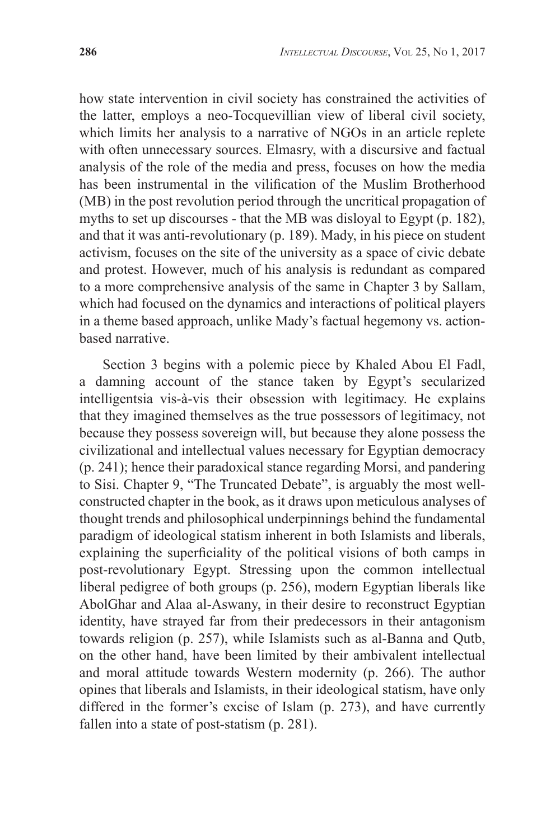how state intervention in civil society has constrained the activities of the latter, employs a neo-Tocquevillian view of liberal civil society, which limits her analysis to a narrative of NGOs in an article replete with often unnecessary sources. Elmasry, with a discursive and factual analysis of the role of the media and press, focuses on how the media has been instrumental in the vilification of the Muslim Brotherhood (MB) in the post revolution period through the uncritical propagation of myths to set up discourses - that the MB was disloyal to Egypt (p. 182), and that it was anti-revolutionary (p. 189). Mady, in his piece on student activism, focuses on the site of the university as a space of civic debate and protest. However, much of his analysis is redundant as compared to a more comprehensive analysis of the same in Chapter 3 by Sallam, which had focused on the dynamics and interactions of political players in a theme based approach, unlike Mady's factual hegemony vs. actionbased narrative.

Section 3 begins with a polemic piece by Khaled Abou El Fadl, a damning account of the stance taken by Egypt's secularized intelligentsia vis-à-vis their obsession with legitimacy. He explains that they imagined themselves as the true possessors of legitimacy, not because they possess sovereign will, but because they alone possess the civilizational and intellectual values necessary for Egyptian democracy (p. 241); hence their paradoxical stance regarding Morsi, and pandering to Sisi. Chapter 9, "The Truncated Debate", is arguably the most wellconstructed chapter in the book, as it draws upon meticulous analyses of thought trends and philosophical underpinnings behind the fundamental paradigm of ideological statism inherent in both Islamists and liberals, explaining the superficiality of the political visions of both camps in post-revolutionary Egypt. Stressing upon the common intellectual liberal pedigree of both groups (p. 256), modern Egyptian liberals like AbolGhar and Alaa al-Aswany, in their desire to reconstruct Egyptian identity, have strayed far from their predecessors in their antagonism towards religion (p. 257), while Islamists such as al-Banna and Qutb, on the other hand, have been limited by their ambivalent intellectual and moral attitude towards Western modernity (p. 266). The author opines that liberals and Islamists, in their ideological statism, have only differed in the former's excise of Islam (p. 273), and have currently fallen into a state of post-statism (p. 281).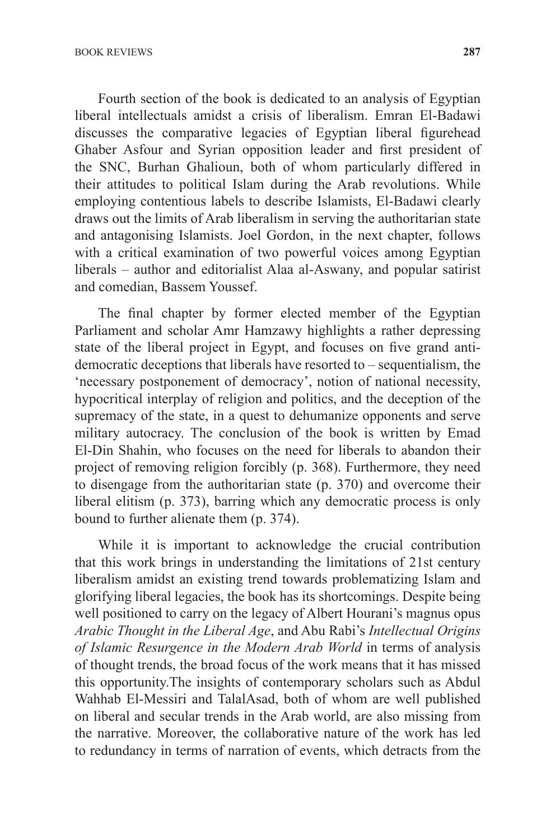Fourth section of the book is dedicated to an analysis of Egyptian liberal intellectuals amidst a crisis of liberalism. Emran El-Badawi discusses the comparative legacies of Egyptian liberal figurehead Ghaber Asfour and Syrian opposition leader and first president of the SNC, Burhan Ghalioun, both of whom particularly differed in their attitudes to political Islam during the Arab revolutions. While employing contentious labels to describe Islamists, El-Badawi clearly draws out the limits of Arab liberalism in serving the authoritarian state and antagonising Islamists. Joel Gordon, in the next chapter, follows with a critical examination of two powerful voices among Egyptian liberals – author and editorialist Alaa al-Aswany, and popular satirist and comedian, Bassem Youssef.

The final chapter by former elected member of the Egyptian Parliament and scholar Amr Hamzawy highlights a rather depressing state of the liberal project in Egypt, and focuses on five grand antidemocratic deceptions that liberals have resorted to – sequentialism, the 'necessary postponement of democracy', notion of national necessity, hypocritical interplay of religion and politics, and the deception of the supremacy of the state, in a quest to dehumanize opponents and serve military autocracy. The conclusion of the book is written by Emad El-Din Shahin, who focuses on the need for liberals to abandon their project of removing religion forcibly (p. 368). Furthermore, they need to disengage from the authoritarian state (p. 370) and overcome their liberal elitism (p. 373), barring which any democratic process is only bound to further alienate them (p. 374).

While it is important to acknowledge the crucial contribution that this work brings in understanding the limitations of 21st century liberalism amidst an existing trend towards problematizing Islam and glorifying liberal legacies, the book has its shortcomings. Despite being well positioned to carry on the legacy of Albert Hourani's magnus opus *Arabic Thought in the Liberal Age*, and Abu Rabi's *Intellectual Origins of Islamic Resurgence in the Modern Arab World* in terms of analysis of thought trends, the broad focus of the work means that it has missed this opportunity.The insights of contemporary scholars such as Abdul Wahhab El-Messiri and TalalAsad, both of whom are well published on liberal and secular trends in the Arab world, are also missing from the narrative. Moreover, the collaborative nature of the work has led to redundancy in terms of narration of events, which detracts from the